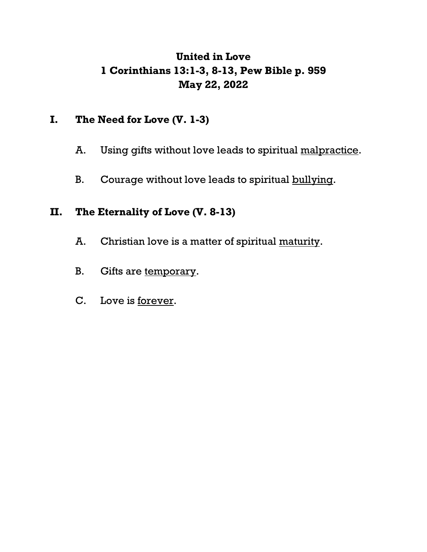# **United in Love 1 Corinthians 13:1-3, 8-13, Pew Bible p. 959 May 22, 2022**

### **I. The Need for Love (V. 1-3)**

- A. Using gifts without love leads to spiritual malpractice.
- B. Courage without love leads to spiritual bullying.

### **II. The Eternality of Love (V. 8-13)**

- A. Christian love is a matter of spiritual maturity.
- B. Gifts are temporary.
- C. Love is forever.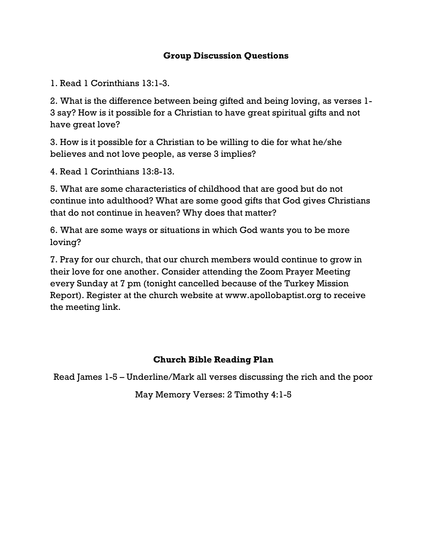#### **Group Discussion Questions**

1. Read 1 Corinthians 13:1-3.

2. What is the difference between being gifted and being loving, as verses 1- 3 say? How is it possible for a Christian to have great spiritual gifts and not have great love?

3. How is it possible for a Christian to be willing to die for what he/she believes and not love people, as verse 3 implies?

4. Read 1 Corinthians 13:8-13.

5. What are some characteristics of childhood that are good but do not continue into adulthood? What are some good gifts that God gives Christians that do not continue in heaven? Why does that matter?

6. What are some ways or situations in which God wants you to be more loving?

7. Pray for our church, that our church members would continue to grow in their love for one another. Consider attending the Zoom Prayer Meeting every Sunday at 7 pm (tonight cancelled because of the Turkey Mission Report). Register at the church website at www.apollobaptist.org to receive the meeting link.

### **Church Bible Reading Plan**

Read James 1-5 – Underline/Mark all verses discussing the rich and the poor

May Memory Verses: 2 Timothy 4:1-5